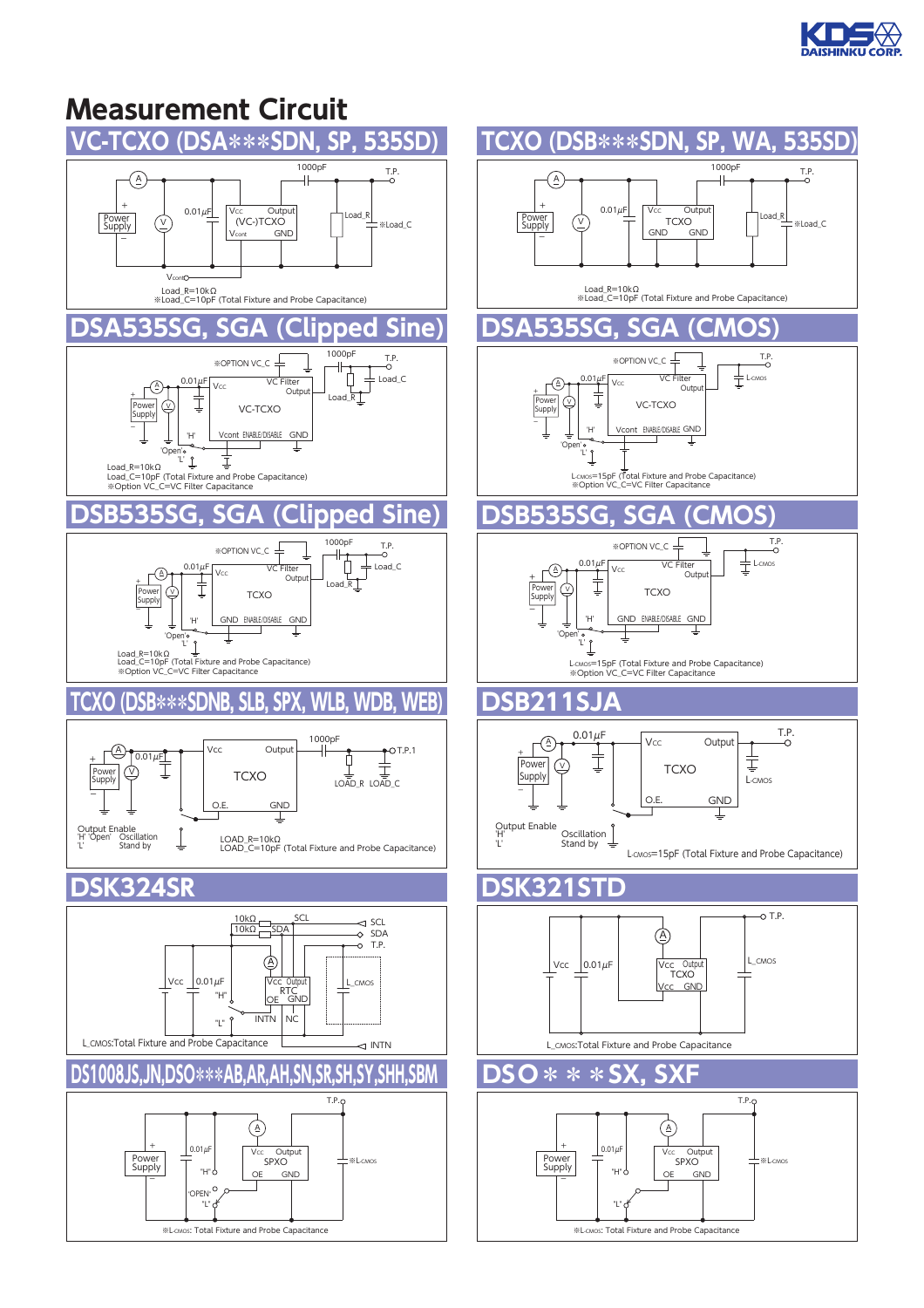

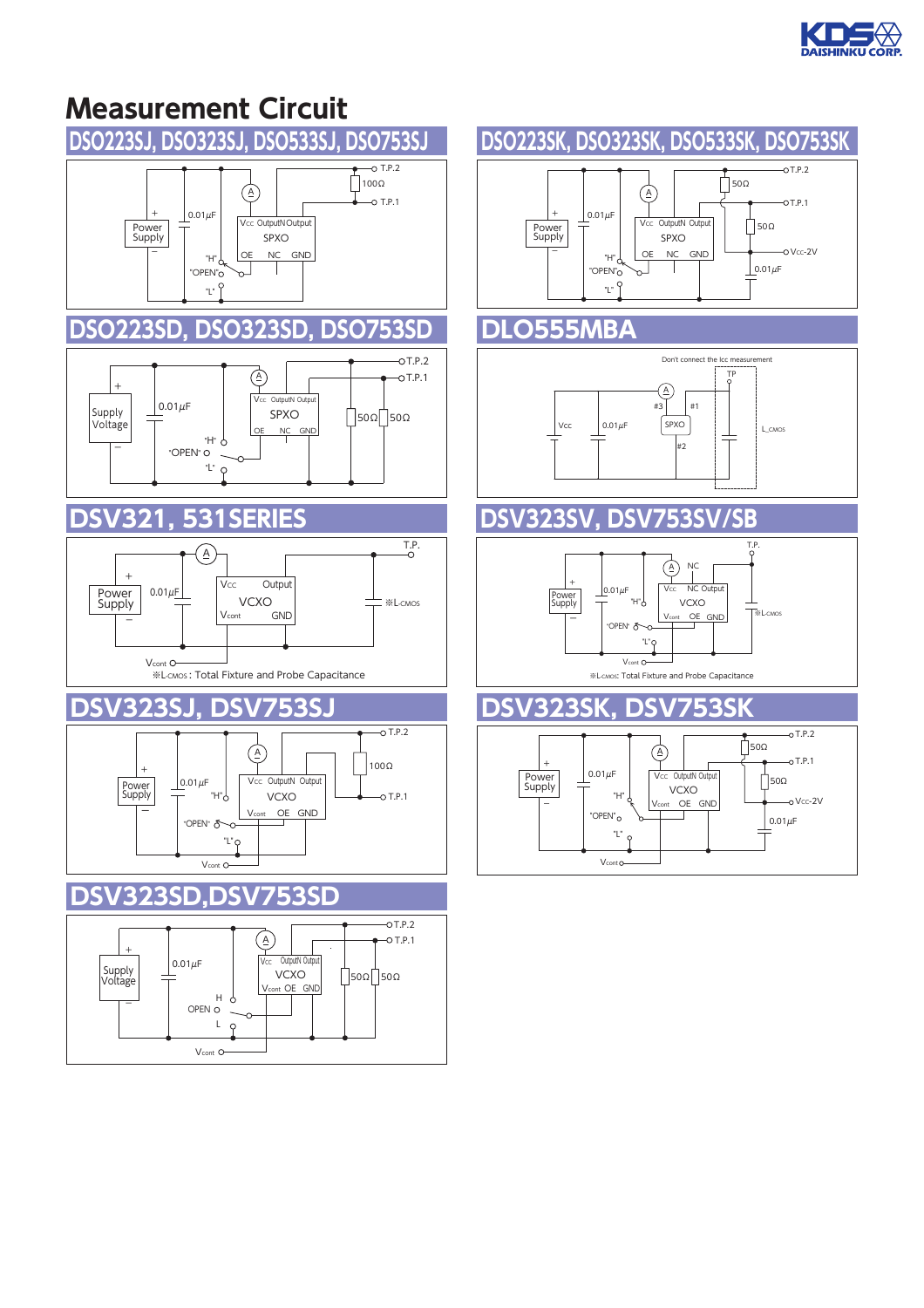

# **Measurement Circuit**



L

 $\varphi$ 

V<sub>cont</sub><sup>O</sup>

### **DSO223SK, DSO323SK, DSO533SK, DSO753SK**

 $\bigcirc$ 

 $\sim$ 

SPXO

NC<sub>GND</sub>

#2

#3

#1  $\circledA$ 

Don't connect the Icc measurent

Vcc OutputN Outpu

 $0.01 \mu F$ 

L\_CMOS

T.P.

 $-0.$ T.P.1

o Vcc-2V

 $\overline{OT.P.2}$ 

 $0.01 \mu F$ 

 $\bigcap$ 50Ω

 $\bigcap$  50Ω

 $\bigcap$  50Ω

TP

V<sub>cont</sub> OE GND | <sup>※L-CMOS</sup>

 $\overrightarrow{A}$   $\overrightarrow{B}$ 50Ω

Vcc NC Output VCXO

NC

 $-0$ T.P.2

 $0$ TP<sub>1</sub>

 $-0$  Vcc-2V

 "H" "OPEN" "L"

 $0.01 \mu F$ 

"OPEN"

"L"

Vconto

 $0.01 \mu F$ 

ー

+

V<sub>cont</sub> O

"H" "OPEN" "L"

※L-CMOS: Total Fixture and Probe Capacitance

VCXO "H" Vcont OE GND

Vcc OutputN (

 $\left( \begin{smallmatrix} A \\ C \end{smallmatrix} \right)$ 

 $0.01 \mu F$